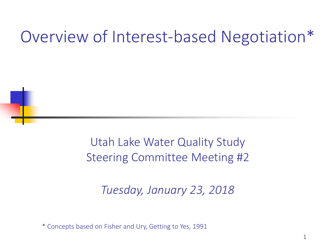### Overview of Interest-based Negotiation\*

#### Utah Lake Water Quality Study Steering Committee Meeting #2

#### *Tuesday, January 23, 2018*

\* Concepts based on Fisher and Ury, Getting to Yes, 1991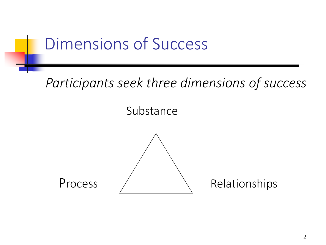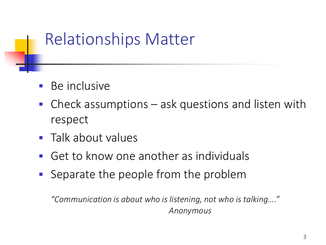#### Relationships Matter

- **Be inclusive**
- Check assumptions ask questions and listen with respect
- **Talk about values**
- Get to know one another as individuals
- Separate the people from the problem

*"Communication is about who is listening, not who is talking…." Anonymous*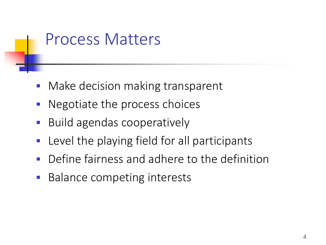

- **Nake decision making transparent**
- Negotiate the process choices
- **Build agendas cooperatively**
- **Level the playing field for all participants**
- Define fairness and adhere to the definition
- Balance competing interests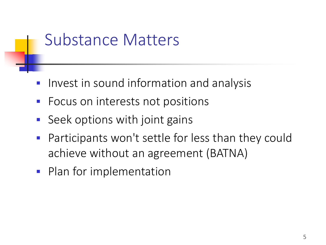#### Substance Matters

- **Invest in sound information and analysis**
- **F** Focus on interests not positions
- Seek options with joint gains
- Participants won't settle for less than they could achieve without an agreement (BATNA)
- **Plan for implementation**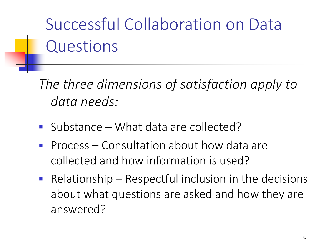Successful Collaboration on Data Questions

*The three dimensions of satisfaction apply to data needs:*

- Substance What data are collected?
- **Process Consultation about how data are** collected and how information is used?
- Relationship Respectful inclusion in the decisions about what questions are asked and how they are answered?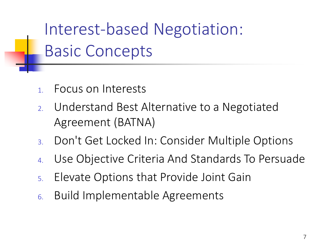Interest-based Negotiation: Basic Concepts

- Focus on Interests
- 2. Understand Best Alternative to a Negotiated Agreement (BATNA)
- 3. Don't Get Locked In: Consider Multiple Options
- 4. Use Objective Criteria And Standards To Persuade
- 5. Elevate Options that Provide Joint Gain
- 6. Build Implementable Agreements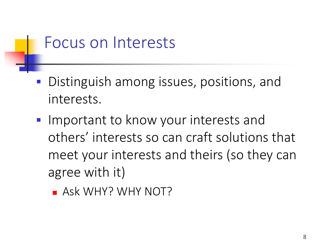#### Focus on Interests

- **Distinguish among issues, positions, and** interests.
- **Important to know your interests and** others' interests so can craft solutions that meet your interests and theirs (so they can agree with it)
	- **Ask WHY? WHY NOT?**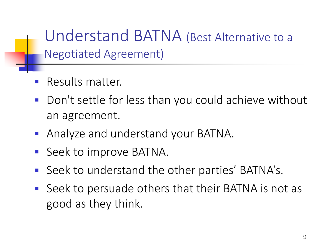Understand BATNA (Best Alternative to a Negotiated Agreement)

- Results matter.
- Don't settle for less than you could achieve without an agreement.
- Analyze and understand your BATNA.
- Seek to improve BATNA.
- Seek to understand the other parties' BATNA's.
- Seek to persuade others that their BATNA is not as good as they think.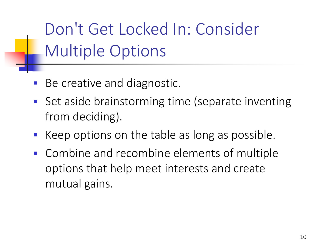Don't Get Locked In: Consider Multiple Options

- Be creative and diagnostic.
- Set aside brainstorming time (separate inventing from deciding).
- Keep options on the table as long as possible.
- Combine and recombine elements of multiple options that help meet interests and create mutual gains.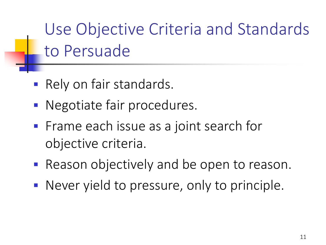Use Objective Criteria and Standards to Persuade

- **Rely on fair standards.**
- **Negotiate fair procedures.**
- **Frame each issue as a joint search for** objective criteria.
- **Reason objectively and be open to reason.**
- **Never yield to pressure, only to principle.**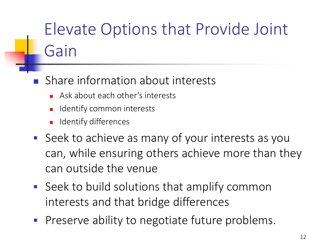# Elevate Options that Provide Joint Gain

- **Share information about interests** 
	- **Ask about each other's interests**
	- Identify common interests
	- **In Identify differences**
- Seek to achieve as many of your interests as you can, while ensuring others achieve more than they can outside the venue
- **Seek to build solutions that amplify common** interests and that bridge differences
- **Preserve ability to negotiate future problems.**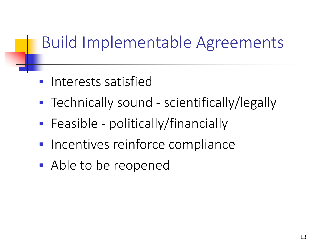## Build Implementable Agreements

- Interests satisfied
- Technically sound scientifically/legally
- **Feasible politically/financially**
- **Incentives reinforce compliance**
- Able to be reopened